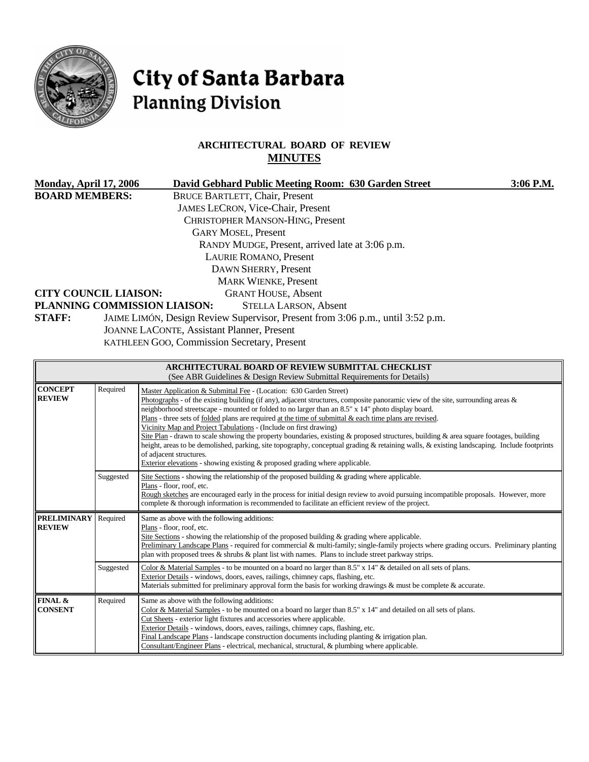

# City of Santa Barbara **Planning Division**

### **ARCHITECTURAL BOARD OF REVIEW MINUTES**

| <b>Monday, April 17, 2006</b>                                                            |          | David Gebhard Public Meeting Room: 630 Garden Street                                                                                                                                                             | 3:06 P.M. |  |  |  |  |
|------------------------------------------------------------------------------------------|----------|------------------------------------------------------------------------------------------------------------------------------------------------------------------------------------------------------------------|-----------|--|--|--|--|
| <b>BOARD MEMBERS:</b>                                                                    |          | <b>BRUCE BARTLETT, Chair, Present</b>                                                                                                                                                                            |           |  |  |  |  |
|                                                                                          |          | <b>JAMES LECRON, Vice-Chair, Present</b>                                                                                                                                                                         |           |  |  |  |  |
|                                                                                          |          | CHRISTOPHER MANSON-HING, Present                                                                                                                                                                                 |           |  |  |  |  |
|                                                                                          |          | <b>GARY MOSEL, Present</b>                                                                                                                                                                                       |           |  |  |  |  |
|                                                                                          |          | RANDY MUDGE, Present, arrived late at 3:06 p.m.                                                                                                                                                                  |           |  |  |  |  |
|                                                                                          |          | <b>LAURIE ROMANO, Present</b>                                                                                                                                                                                    |           |  |  |  |  |
| DAWN SHERRY, Present                                                                     |          |                                                                                                                                                                                                                  |           |  |  |  |  |
|                                                                                          |          | <b>MARK WIENKE, Present</b>                                                                                                                                                                                      |           |  |  |  |  |
| <b>CITY COUNCIL LIAISON:</b>                                                             |          | <b>GRANT HOUSE, Absent</b>                                                                                                                                                                                       |           |  |  |  |  |
|                                                                                          |          | PLANNING COMMISSION LIAISON:<br><b>STELLA LARSON, Absent</b>                                                                                                                                                     |           |  |  |  |  |
| STAFF:<br>JAIME LIMÓN, Design Review Supervisor, Present from 3:06 p.m., until 3:52 p.m. |          |                                                                                                                                                                                                                  |           |  |  |  |  |
| <b>JOANNE LACONTE, Assistant Planner, Present</b>                                        |          |                                                                                                                                                                                                                  |           |  |  |  |  |
| KATHLEEN GOO, Commission Secretary, Present                                              |          |                                                                                                                                                                                                                  |           |  |  |  |  |
|                                                                                          |          |                                                                                                                                                                                                                  |           |  |  |  |  |
|                                                                                          |          | ARCHITECTURAL BOARD OF REVIEW SUBMITTAL CHECKLIST<br>(See ABR Guidelines & Design Review Submittal Requirements for Details)                                                                                     |           |  |  |  |  |
| <b>CONCEPT</b><br><b>REVIEW</b>                                                          | Required | Master Application & Submittal Fee - (Location: 630 Garden Street)<br>$\Omega$ Dhotographs of the evicting building (if any) adjacent structures composite penergmin view of the site surrounding areas $\ell$ . |           |  |  |  |  |

| (See Tiply Guidelines & Design Kevicw Submittan Kequitements for Details) |           |                                                                                                                                                                                                                                                                                                                                                                                                                                                                                                                                                                                                                                                                                                                                                                                                                                                                                                   |  |  |  |  |
|---------------------------------------------------------------------------|-----------|---------------------------------------------------------------------------------------------------------------------------------------------------------------------------------------------------------------------------------------------------------------------------------------------------------------------------------------------------------------------------------------------------------------------------------------------------------------------------------------------------------------------------------------------------------------------------------------------------------------------------------------------------------------------------------------------------------------------------------------------------------------------------------------------------------------------------------------------------------------------------------------------------|--|--|--|--|
| <b>CONCEPT</b><br><b>REVIEW</b>                                           | Required  | Master Application & Submittal Fee - (Location: 630 Garden Street)<br>Photographs - of the existing building (if any), adjacent structures, composite panoramic view of the site, surrounding areas $\&$<br>neighborhood streetscape - mounted or folded to no larger than an 8.5" x 14" photo display board.<br>Plans - three sets of folded plans are required at the time of submittal & each time plans are revised.<br>Vicinity Map and Project Tabulations - (Include on first drawing)<br>Site Plan - drawn to scale showing the property boundaries, existing & proposed structures, building & area square footages, building<br>height, areas to be demolished, parking, site topography, conceptual grading & retaining walls, & existing landscaping. Include footprints<br>of adjacent structures.<br>Exterior elevations - showing existing $\&$ proposed grading where applicable. |  |  |  |  |
|                                                                           | Suggested | Site Sections - showing the relationship of the proposed building $\&$ grading where applicable.<br>Plans - floor, roof, etc.<br>Rough sketches are encouraged early in the process for initial design review to avoid pursuing incompatible proposals. However, more<br>complete & thorough information is recommended to facilitate an efficient review of the project.                                                                                                                                                                                                                                                                                                                                                                                                                                                                                                                         |  |  |  |  |
| <b>PRELIMINARY</b><br><b>REVIEW</b>                                       | Required  | Same as above with the following additions:<br>Plans - floor, roof, etc.<br>Site Sections - showing the relationship of the proposed building $\&$ grading where applicable.<br>Preliminary Landscape Plans - required for commercial & multi-family; single-family projects where grading occurs. Preliminary planting<br>plan with proposed trees $\&$ shrubs $\&$ plant list with names. Plans to include street parkway strips.                                                                                                                                                                                                                                                                                                                                                                                                                                                               |  |  |  |  |
|                                                                           | Suggested | Color & Material Samples - to be mounted on a board no larger than 8.5" x 14" & detailed on all sets of plans.<br>Exterior Details - windows, doors, eaves, railings, chimney caps, flashing, etc.<br>Materials submitted for preliminary approval form the basis for working drawings $\&$ must be complete $\&$ accurate.                                                                                                                                                                                                                                                                                                                                                                                                                                                                                                                                                                       |  |  |  |  |
| FINAL &<br><b>CONSENT</b>                                                 | Required  | Same as above with the following additions:<br>Color & Material Samples - to be mounted on a board no larger than 8.5" x 14" and detailed on all sets of plans.<br>Cut Sheets - exterior light fixtures and accessories where applicable.<br>Exterior Details - windows, doors, eaves, railings, chimney caps, flashing, etc.<br>Final Landscape Plans - landscape construction documents including planting $&$ irrigation plan.<br>Consultant/Engineer Plans - electrical, mechanical, structural, & plumbing where applicable.                                                                                                                                                                                                                                                                                                                                                                 |  |  |  |  |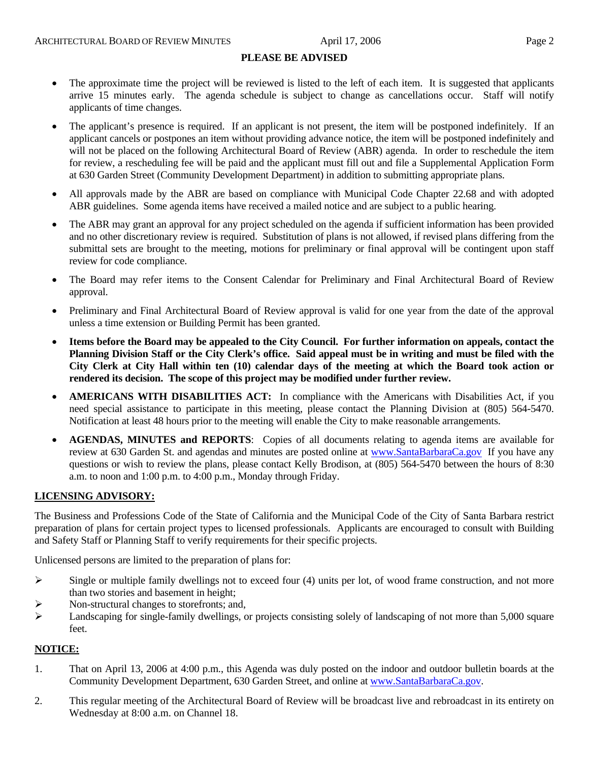### **PLEASE BE ADVISED**

- The approximate time the project will be reviewed is listed to the left of each item. It is suggested that applicants arrive 15 minutes early. The agenda schedule is subject to change as cancellations occur. Staff will notify applicants of time changes.
- The applicant's presence is required. If an applicant is not present, the item will be postponed indefinitely. If an applicant cancels or postpones an item without providing advance notice, the item will be postponed indefinitely and will not be placed on the following Architectural Board of Review (ABR) agenda. In order to reschedule the item for review, a rescheduling fee will be paid and the applicant must fill out and file a Supplemental Application Form at 630 Garden Street (Community Development Department) in addition to submitting appropriate plans.
- All approvals made by the ABR are based on compliance with Municipal Code Chapter 22.68 and with adopted ABR guidelines. Some agenda items have received a mailed notice and are subject to a public hearing.
- The ABR may grant an approval for any project scheduled on the agenda if sufficient information has been provided and no other discretionary review is required. Substitution of plans is not allowed, if revised plans differing from the submittal sets are brought to the meeting, motions for preliminary or final approval will be contingent upon staff review for code compliance.
- The Board may refer items to the Consent Calendar for Preliminary and Final Architectural Board of Review approval.
- Preliminary and Final Architectural Board of Review approval is valid for one year from the date of the approval unless a time extension or Building Permit has been granted.
- **Items before the Board may be appealed to the City Council. For further information on appeals, contact the Planning Division Staff or the City Clerk's office. Said appeal must be in writing and must be filed with the City Clerk at City Hall within ten (10) calendar days of the meeting at which the Board took action or rendered its decision. The scope of this project may be modified under further review.**
- **AMERICANS WITH DISABILITIES ACT:** In compliance with the Americans with Disabilities Act, if you need special assistance to participate in this meeting, please contact the Planning Division at (805) 564-5470. Notification at least 48 hours prior to the meeting will enable the City to make reasonable arrangements.
- **AGENDAS, MINUTES and REPORTS**: Copies of all documents relating to agenda items are available for review at 630 Garden St. and agendas and minutes are posted online at [www.SantaBarbaraCa.gov](http://www.santabarbaraca.gov/) If you have any questions or wish to review the plans, please contact Kelly Brodison, at (805) 564-5470 between the hours of 8:30 a.m. to noon and 1:00 p.m. to 4:00 p.m., Monday through Friday.

### **LICENSING ADVISORY:**

The Business and Professions Code of the State of California and the Municipal Code of the City of Santa Barbara restrict preparation of plans for certain project types to licensed professionals. Applicants are encouraged to consult with Building and Safety Staff or Planning Staff to verify requirements for their specific projects.

Unlicensed persons are limited to the preparation of plans for:

- $\triangleright$  Single or multiple family dwellings not to exceed four (4) units per lot, of wood frame construction, and not more than two stories and basement in height;
- Non-structural changes to storefronts; and,
- $\blacktriangleright$  Landscaping for single-family dwellings, or projects consisting solely of landscaping of not more than 5,000 square feet.

### **NOTICE:**

- 1. That on April 13, 2006 at 4:00 p.m., this Agenda was duly posted on the indoor and outdoor bulletin boards at the Community Development Department, 630 Garden Street, and online at [www.SantaBarbaraCa.gov](http://www.santabarbaraca.gov/).
- 2. This regular meeting of the Architectural Board of Review will be broadcast live and rebroadcast in its entirety on Wednesday at 8:00 a.m. on Channel 18.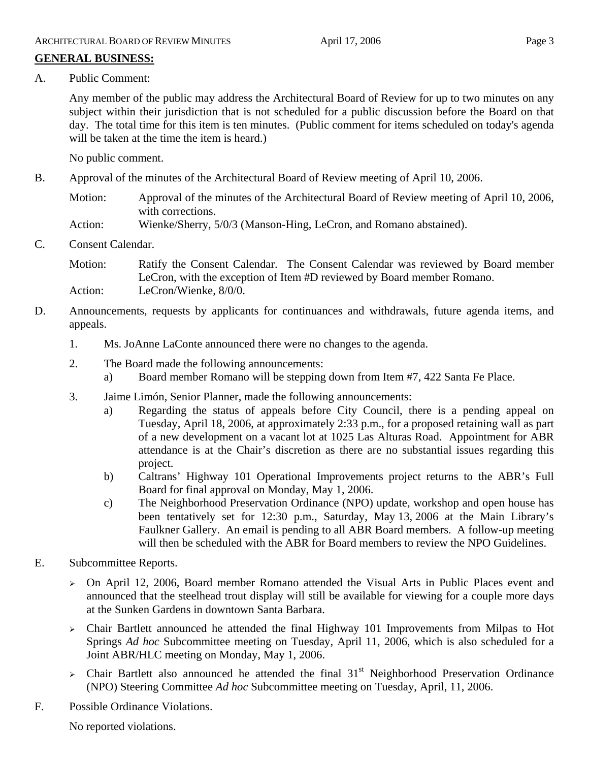### **GENERAL BUSINESS:**

A. Public Comment:

Any member of the public may address the Architectural Board of Review for up to two minutes on any subject within their jurisdiction that is not scheduled for a public discussion before the Board on that day. The total time for this item is ten minutes. (Public comment for items scheduled on today's agenda will be taken at the time the item is heard.)

No public comment.

- B. Approval of the minutes of the Architectural Board of Review meeting of April 10, 2006.
	- Motion: Approval of the minutes of the Architectural Board of Review meeting of April 10, 2006, with corrections.
	- Action: Wienke/Sherry, 5/0/3 (Manson-Hing, LeCron, and Romano abstained).
- C. Consent Calendar.

Motion: Ratify the Consent Calendar. The Consent Calendar was reviewed by Board member LeCron, with the exception of Item #D reviewed by Board member Romano. Action: LeCron/Wienke, 8/0/0.

- D. Announcements, requests by applicants for continuances and withdrawals, future agenda items, and appeals.
	- 1. Ms. JoAnne LaConte announced there were no changes to the agenda.
	- 2. The Board made the following announcements:
		- a) Board member Romano will be stepping down from Item #7, 422 Santa Fe Place.
	- 3. Jaime Limón, Senior Planner, made the following announcements:
		- a) Regarding the status of appeals before City Council, there is a pending appeal on Tuesday, April 18, 2006, at approximately 2:33 p.m., for a proposed retaining wall as part of a new development on a vacant lot at 1025 Las Alturas Road. Appointment for ABR attendance is at the Chair's discretion as there are no substantial issues regarding this project.
		- b) Caltrans' Highway 101 Operational Improvements project returns to the ABR's Full Board for final approval on Monday, May 1, 2006.
		- c) The Neighborhood Preservation Ordinance (NPO) update, workshop and open house has been tentatively set for 12:30 p.m., Saturday, May 13, 2006 at the Main Library's Faulkner Gallery. An email is pending to all ABR Board members. A follow-up meeting will then be scheduled with the ABR for Board members to review the NPO Guidelines.
- E. Subcommittee Reports.
	- $\geq$  On April 12, 2006, Board member Romano attended the Visual Arts in Public Places event and announced that the steelhead trout display will still be available for viewing for a couple more days at the Sunken Gardens in downtown Santa Barbara.
	- <sup>¾</sup> Chair Bartlett announced he attended the final Highway 101 Improvements from Milpas to Hot Springs *Ad hoc* Subcommittee meeting on Tuesday, April 11, 2006, which is also scheduled for a Joint ABR/HLC meeting on Monday, May 1, 2006.
	- $\geq$  Chair Bartlett also announced he attended the final 31<sup>st</sup> Neighborhood Preservation Ordinance (NPO) Steering Committee *Ad hoc* Subcommittee meeting on Tuesday, April, 11, 2006.
- F. Possible Ordinance Violations.

No reported violations.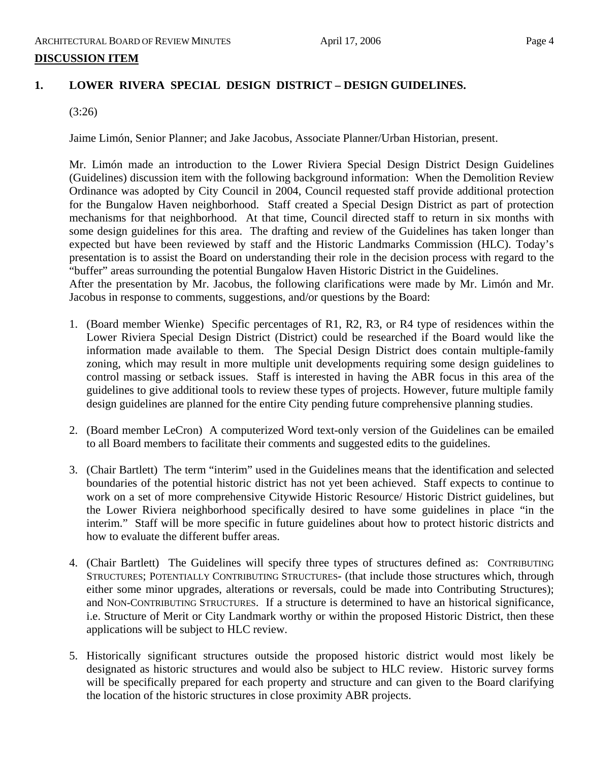### **1. LOWER RIVERA SPECIAL DESIGN DISTRICT – DESIGN GUIDELINES.**

(3:26)

Jaime Limón, Senior Planner; and Jake Jacobus, Associate Planner/Urban Historian, present.

Mr. Limón made an introduction to the Lower Riviera Special Design District Design Guidelines (Guidelines) discussion item with the following background information: When the Demolition Review Ordinance was adopted by City Council in 2004, Council requested staff provide additional protection for the Bungalow Haven neighborhood. Staff created a Special Design District as part of protection mechanisms for that neighborhood. At that time, Council directed staff to return in six months with some design guidelines for this area. The drafting and review of the Guidelines has taken longer than expected but have been reviewed by staff and the Historic Landmarks Commission (HLC). Today's presentation is to assist the Board on understanding their role in the decision process with regard to the "buffer" areas surrounding the potential Bungalow Haven Historic District in the Guidelines.

After the presentation by Mr. Jacobus, the following clarifications were made by Mr. Limón and Mr. Jacobus in response to comments, suggestions, and/or questions by the Board:

- 1. (Board member Wienke) Specific percentages of R1, R2, R3, or R4 type of residences within the Lower Riviera Special Design District (District) could be researched if the Board would like the information made available to them. The Special Design District does contain multiple-family zoning, which may result in more multiple unit developments requiring some design guidelines to control massing or setback issues. Staff is interested in having the ABR focus in this area of the guidelines to give additional tools to review these types of projects. However, future multiple family design guidelines are planned for the entire City pending future comprehensive planning studies.
- 2. (Board member LeCron) A computerized Word text-only version of the Guidelines can be emailed to all Board members to facilitate their comments and suggested edits to the guidelines.
- 3. (Chair Bartlett) The term "interim" used in the Guidelines means that the identification and selected boundaries of the potential historic district has not yet been achieved. Staff expects to continue to work on a set of more comprehensive Citywide Historic Resource/ Historic District guidelines, but the Lower Riviera neighborhood specifically desired to have some guidelines in place "in the interim." Staff will be more specific in future guidelines about how to protect historic districts and how to evaluate the different buffer areas.
- 4. (Chair Bartlett) The Guidelines will specify three types of structures defined as: CONTRIBUTING STRUCTURES; POTENTIALLY CONTRIBUTING STRUCTURES- (that include those structures which, through either some minor upgrades, alterations or reversals, could be made into Contributing Structures); and NON-CONTRIBUTING STRUCTURES. If a structure is determined to have an historical significance, i.e. Structure of Merit or City Landmark worthy or within the proposed Historic District, then these applications will be subject to HLC review.
- 5. Historically significant structures outside the proposed historic district would most likely be designated as historic structures and would also be subject to HLC review. Historic survey forms will be specifically prepared for each property and structure and can given to the Board clarifying the location of the historic structures in close proximity ABR projects.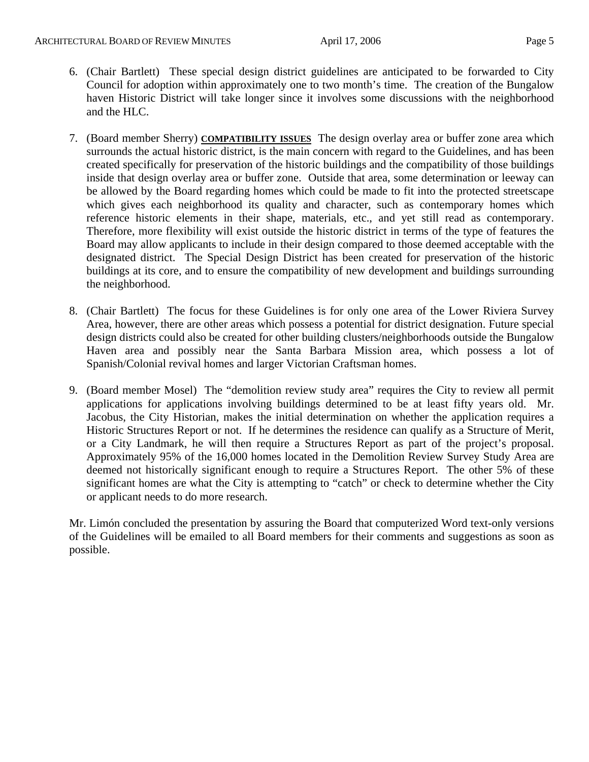- 6. (Chair Bartlett) These special design district guidelines are anticipated to be forwarded to City Council for adoption within approximately one to two month's time. The creation of the Bungalow haven Historic District will take longer since it involves some discussions with the neighborhood and the HLC.
- 7. (Board member Sherry) **COMPATIBILITY ISSUES** The design overlay area or buffer zone area which surrounds the actual historic district, is the main concern with regard to the Guidelines, and has been created specifically for preservation of the historic buildings and the compatibility of those buildings inside that design overlay area or buffer zone. Outside that area, some determination or leeway can be allowed by the Board regarding homes which could be made to fit into the protected streetscape which gives each neighborhood its quality and character, such as contemporary homes which reference historic elements in their shape, materials, etc., and yet still read as contemporary. Therefore, more flexibility will exist outside the historic district in terms of the type of features the Board may allow applicants to include in their design compared to those deemed acceptable with the designated district. The Special Design District has been created for preservation of the historic buildings at its core, and to ensure the compatibility of new development and buildings surrounding the neighborhood.
- 8. (Chair Bartlett) The focus for these Guidelines is for only one area of the Lower Riviera Survey Area, however, there are other areas which possess a potential for district designation. Future special design districts could also be created for other building clusters/neighborhoods outside the Bungalow Haven area and possibly near the Santa Barbara Mission area, which possess a lot of Spanish/Colonial revival homes and larger Victorian Craftsman homes.
- 9. (Board member Mosel) The "demolition review study area" requires the City to review all permit applications for applications involving buildings determined to be at least fifty years old. Mr. Jacobus, the City Historian, makes the initial determination on whether the application requires a Historic Structures Report or not. If he determines the residence can qualify as a Structure of Merit, or a City Landmark, he will then require a Structures Report as part of the project's proposal. Approximately 95% of the 16,000 homes located in the Demolition Review Survey Study Area are deemed not historically significant enough to require a Structures Report. The other 5% of these significant homes are what the City is attempting to "catch" or check to determine whether the City or applicant needs to do more research.

Mr. Limón concluded the presentation by assuring the Board that computerized Word text-only versions of the Guidelines will be emailed to all Board members for their comments and suggestions as soon as possible.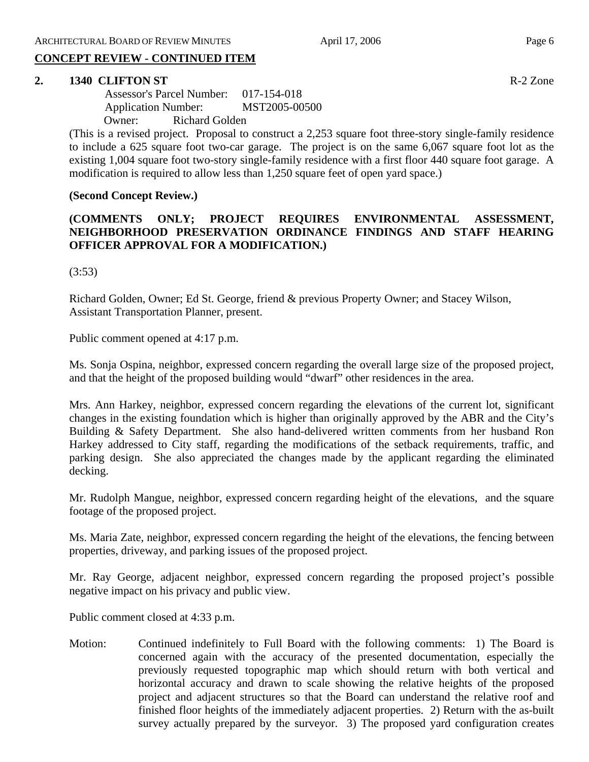### **CONCEPT REVIEW - CONTINUED ITEM**

### **2. 1340 CLIFTON ST** R-2 Zone

 Assessor's Parcel Number: 017-154-018 Application Number: MST2005-00500 Owner: Richard Golden

(This is a revised project. Proposal to construct a 2,253 square foot three-story single-family residence to include a 625 square foot two-car garage. The project is on the same 6,067 square foot lot as the existing 1,004 square foot two-story single-family residence with a first floor 440 square foot garage. A modification is required to allow less than 1,250 square feet of open yard space.)

### **(Second Concept Review.)**

### **(COMMENTS ONLY; PROJECT REQUIRES ENVIRONMENTAL ASSESSMENT, NEIGHBORHOOD PRESERVATION ORDINANCE FINDINGS AND STAFF HEARING OFFICER APPROVAL FOR A MODIFICATION.)**

(3:53)

Richard Golden, Owner; Ed St. George, friend & previous Property Owner; and Stacey Wilson, Assistant Transportation Planner, present.

Public comment opened at 4:17 p.m.

Ms. Sonja Ospina, neighbor, expressed concern regarding the overall large size of the proposed project, and that the height of the proposed building would "dwarf" other residences in the area.

Mrs. Ann Harkey, neighbor, expressed concern regarding the elevations of the current lot, significant changes in the existing foundation which is higher than originally approved by the ABR and the City's Building & Safety Department. She also hand-delivered written comments from her husband Ron Harkey addressed to City staff, regarding the modifications of the setback requirements, traffic, and parking design. She also appreciated the changes made by the applicant regarding the eliminated decking.

Mr. Rudolph Mangue, neighbor, expressed concern regarding height of the elevations, and the square footage of the proposed project.

Ms. Maria Zate, neighbor, expressed concern regarding the height of the elevations, the fencing between properties, driveway, and parking issues of the proposed project.

Mr. Ray George, adjacent neighbor, expressed concern regarding the proposed project's possible negative impact on his privacy and public view.

Public comment closed at 4:33 p.m.

Motion: Continued indefinitely to Full Board with the following comments: 1) The Board is concerned again with the accuracy of the presented documentation, especially the previously requested topographic map which should return with both vertical and horizontal accuracy and drawn to scale showing the relative heights of the proposed project and adjacent structures so that the Board can understand the relative roof and finished floor heights of the immediately adjacent properties. 2) Return with the as-built survey actually prepared by the surveyor. 3) The proposed yard configuration creates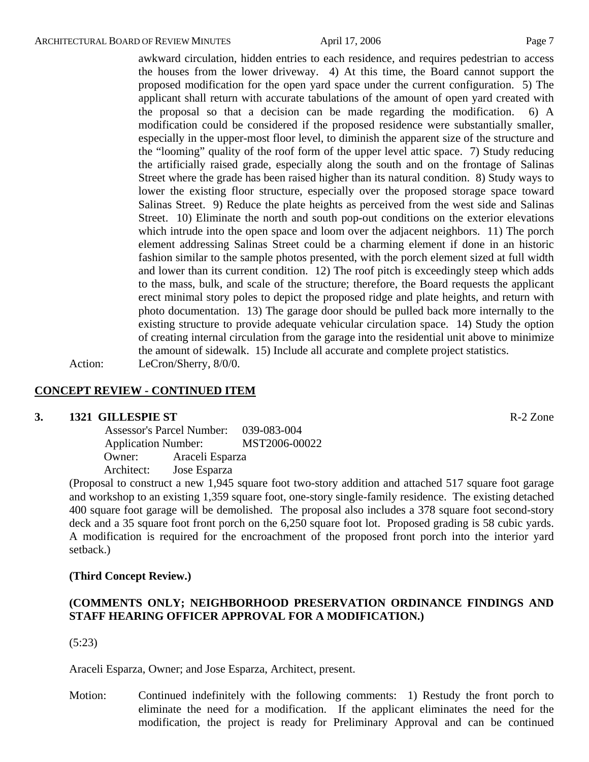awkward circulation, hidden entries to each residence, and requires pedestrian to access the houses from the lower driveway. 4) At this time, the Board cannot support the proposed modification for the open yard space under the current configuration. 5) The applicant shall return with accurate tabulations of the amount of open yard created with the proposal so that a decision can be made regarding the modification. 6) A modification could be considered if the proposed residence were substantially smaller, especially in the upper-most floor level, to diminish the apparent size of the structure and the "looming" quality of the roof form of the upper level attic space. 7) Study reducing the artificially raised grade, especially along the south and on the frontage of Salinas Street where the grade has been raised higher than its natural condition. 8) Study ways to lower the existing floor structure, especially over the proposed storage space toward Salinas Street. 9) Reduce the plate heights as perceived from the west side and Salinas Street. 10) Eliminate the north and south pop-out conditions on the exterior elevations which intrude into the open space and loom over the adjacent neighbors. 11) The porch element addressing Salinas Street could be a charming element if done in an historic fashion similar to the sample photos presented, with the porch element sized at full width and lower than its current condition. 12) The roof pitch is exceedingly steep which adds to the mass, bulk, and scale of the structure; therefore, the Board requests the applicant erect minimal story poles to depict the proposed ridge and plate heights, and return with photo documentation. 13) The garage door should be pulled back more internally to the existing structure to provide adequate vehicular circulation space. 14) Study the option of creating internal circulation from the garage into the residential unit above to minimize the amount of sidewalk. 15) Include all accurate and complete project statistics.

Action: LeCron/Sherry, 8/0/0.

### **CONCEPT REVIEW - CONTINUED ITEM**

### **3. 1321 GILLESPIE ST** R-2 Zone

 Assessor's Parcel Number: 039-083-004 Application Number: MST2006-00022 Owner: Araceli Esparza Architect: Jose Esparza

(Proposal to construct a new 1,945 square foot two-story addition and attached 517 square foot garage and workshop to an existing 1,359 square foot, one-story single-family residence. The existing detached 400 square foot garage will be demolished. The proposal also includes a 378 square foot second-story deck and a 35 square foot front porch on the 6,250 square foot lot. Proposed grading is 58 cubic yards. A modification is required for the encroachment of the proposed front porch into the interior yard setback.)

### **(Third Concept Review.)**

### **(COMMENTS ONLY; NEIGHBORHOOD PRESERVATION ORDINANCE FINDINGS AND STAFF HEARING OFFICER APPROVAL FOR A MODIFICATION.)**

(5:23)

Araceli Esparza, Owner; and Jose Esparza, Architect, present.

Motion: Continued indefinitely with the following comments: 1) Restudy the front porch to eliminate the need for a modification. If the applicant eliminates the need for the modification, the project is ready for Preliminary Approval and can be continued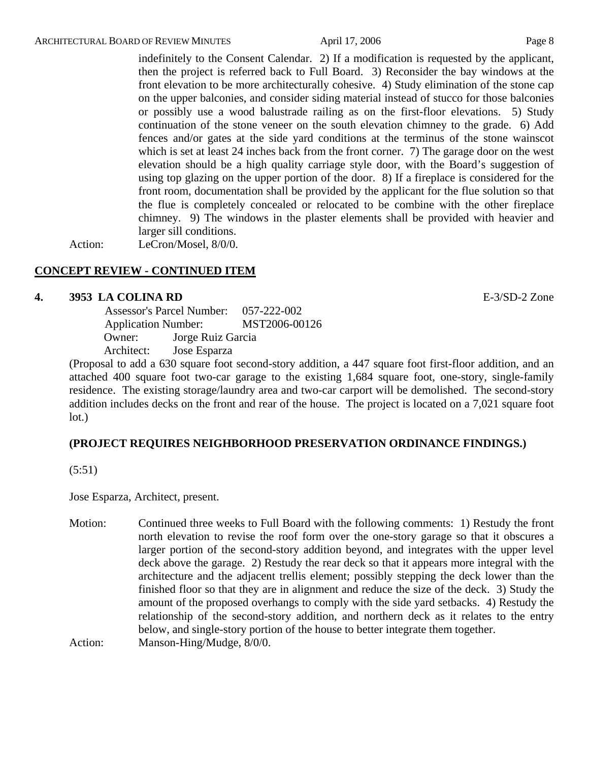indefinitely to the Consent Calendar. 2) If a modification is requested by the applicant, then the project is referred back to Full Board. 3) Reconsider the bay windows at the front elevation to be more architecturally cohesive. 4) Study elimination of the stone cap on the upper balconies, and consider siding material instead of stucco for those balconies or possibly use a wood balustrade railing as on the first-floor elevations. 5) Study continuation of the stone veneer on the south elevation chimney to the grade. 6) Add fences and/or gates at the side yard conditions at the terminus of the stone wainscot which is set at least 24 inches back from the front corner. 7) The garage door on the west elevation should be a high quality carriage style door, with the Board's suggestion of using top glazing on the upper portion of the door. 8) If a fireplace is considered for the front room, documentation shall be provided by the applicant for the flue solution so that the flue is completely concealed or relocated to be combine with the other fireplace chimney. 9) The windows in the plaster elements shall be provided with heavier and larger sill conditions.

Action: LeCron/Mosel, 8/0/0.

### **CONCEPT REVIEW - CONTINUED ITEM**

### **4. 3953 LA COLINA RD** E-3/SD-2 Zone

 Assessor's Parcel Number: 057-222-002 Application Number: MST2006-00126 Owner: Jorge Ruiz Garcia Architect: Jose Esparza

(Proposal to add a 630 square foot second-story addition, a 447 square foot first-floor addition, and an attached 400 square foot two-car garage to the existing 1,684 square foot, one-story, single-family residence. The existing storage/laundry area and two-car carport will be demolished. The second-story addition includes decks on the front and rear of the house. The project is located on a 7,021 square foot lot.)

### **(PROJECT REQUIRES NEIGHBORHOOD PRESERVATION ORDINANCE FINDINGS.)**

(5:51)

Jose Esparza, Architect, present.

Motion: Continued three weeks to Full Board with the following comments: 1) Restudy the front north elevation to revise the roof form over the one-story garage so that it obscures a larger portion of the second-story addition beyond, and integrates with the upper level deck above the garage. 2) Restudy the rear deck so that it appears more integral with the architecture and the adjacent trellis element; possibly stepping the deck lower than the finished floor so that they are in alignment and reduce the size of the deck. 3) Study the amount of the proposed overhangs to comply with the side yard setbacks. 4) Restudy the relationship of the second-story addition, and northern deck as it relates to the entry below, and single-story portion of the house to better integrate them together.

Action: Manson-Hing/Mudge,  $8/0/0$ .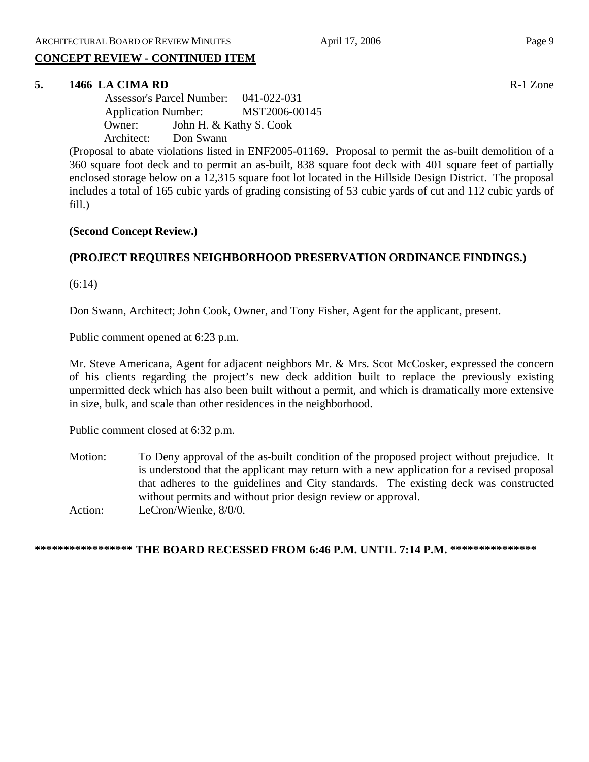### **CONCEPT REVIEW - CONTINUED ITEM**

### **5. 1466 LA CIMA RD** R-1 Zone

 Assessor's Parcel Number: 041-022-031 Application Number: MST2006-00145 Owner: John H. & Kathy S. Cook Architect: Don Swann

(Proposal to abate violations listed in ENF2005-01169. Proposal to permit the as-built demolition of a 360 square foot deck and to permit an as-built, 838 square foot deck with 401 square feet of partially enclosed storage below on a 12,315 square foot lot located in the Hillside Design District. The proposal includes a total of 165 cubic yards of grading consisting of 53 cubic yards of cut and 112 cubic yards of fill.)

### **(Second Concept Review.)**

### **(PROJECT REQUIRES NEIGHBORHOOD PRESERVATION ORDINANCE FINDINGS.)**

(6:14)

Don Swann, Architect; John Cook, Owner, and Tony Fisher, Agent for the applicant, present.

Public comment opened at 6:23 p.m.

Mr. Steve Americana, Agent for adjacent neighbors Mr. & Mrs. Scot McCosker, expressed the concern of his clients regarding the project's new deck addition built to replace the previously existing unpermitted deck which has also been built without a permit, and which is dramatically more extensive in size, bulk, and scale than other residences in the neighborhood.

Public comment closed at 6:32 p.m.

Motion: To Deny approval of the as-built condition of the proposed project without prejudice. It is understood that the applicant may return with a new application for a revised proposal that adheres to the guidelines and City standards. The existing deck was constructed without permits and without prior design review or approval. Action: LeCron/Wienke, 8/0/0.

### **\*\*\*\*\*\*\*\*\*\*\*\*\*\*\*\*\* THE BOARD RECESSED FROM 6:46 P.M. UNTIL 7:14 P.M. \*\*\*\*\*\*\*\*\*\*\*\*\*\*\***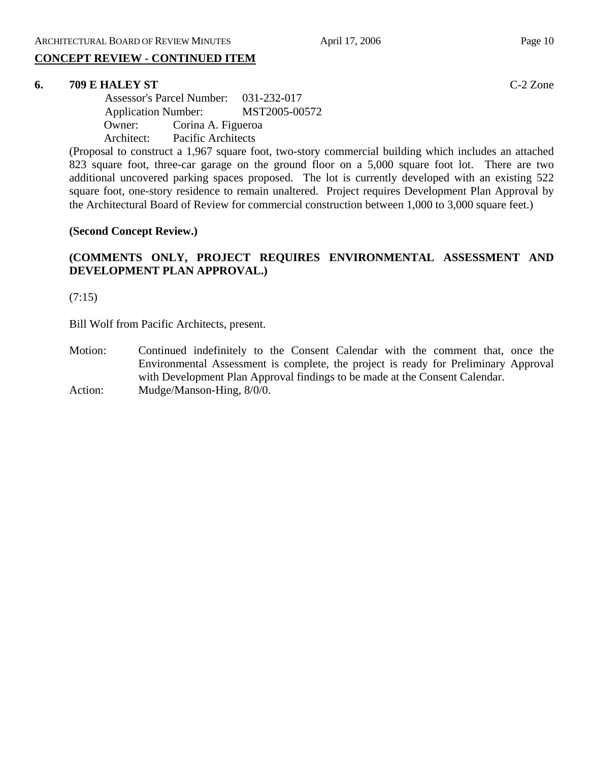# **CONCEPT REVIEW - CONTINUED ITEM**

## **6. 709 E HALEY ST** C-2 Zone

 Assessor's Parcel Number: 031-232-017 Application Number: MST2005-00572 Owner: Corina A. Figueroa Architect: Pacific Architects

(Proposal to construct a 1,967 square foot, two-story commercial building which includes an attached 823 square foot, three-car garage on the ground floor on a 5,000 square foot lot. There are two additional uncovered parking spaces proposed. The lot is currently developed with an existing 522 square foot, one-story residence to remain unaltered. Project requires Development Plan Approval by the Architectural Board of Review for commercial construction between 1,000 to 3,000 square feet.)

### **(Second Concept Review.)**

### **(COMMENTS ONLY, PROJECT REQUIRES ENVIRONMENTAL ASSESSMENT AND DEVELOPMENT PLAN APPROVAL.)**

(7:15)

Bill Wolf from Pacific Architects, present.

Motion: Continued indefinitely to the Consent Calendar with the comment that, once the Environmental Assessment is complete, the project is ready for Preliminary Approval with Development Plan Approval findings to be made at the Consent Calendar. Action: Mudge/Manson-Hing,  $8/0/0$ .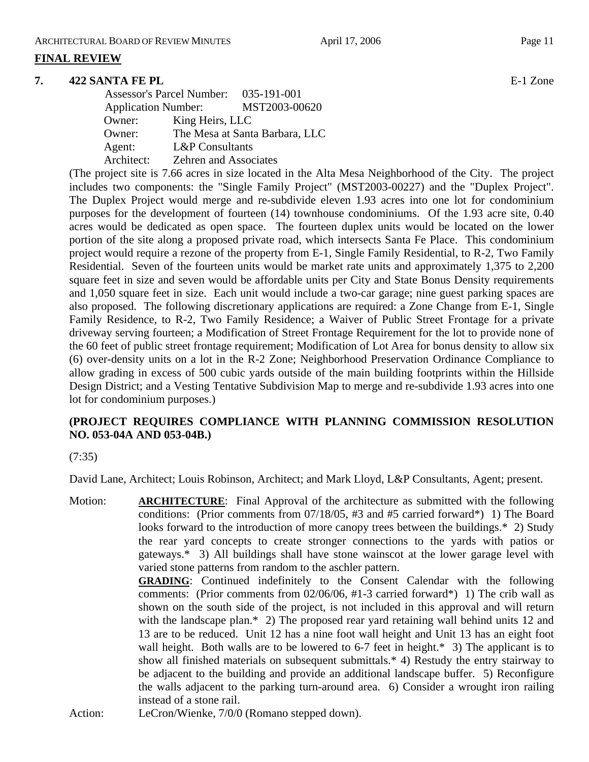### **FINAL REVIEW**

### **7. 422 SANTA FE PL** E-1 Zone

|                            | Assessor's Parcel Number: 035-191-001 |                                |
|----------------------------|---------------------------------------|--------------------------------|
| <b>Application Number:</b> |                                       | MST2003-00620                  |
| Owner:                     | King Heirs, LLC                       |                                |
| Owner:                     |                                       | The Mesa at Santa Barbara, LLC |
| Agent:                     | <b>L&amp;P</b> Consultants            |                                |
| Architect:                 | <b>Zehren and Associates</b>          |                                |
|                            |                                       |                                |

(The project site is 7.66 acres in size located in the Alta Mesa Neighborhood of the City. The project includes two components: the "Single Family Project" (MST2003-00227) and the "Duplex Project". The Duplex Project would merge and re-subdivide eleven 1.93 acres into one lot for condominium purposes for the development of fourteen (14) townhouse condominiums. Of the 1.93 acre site, 0.40 acres would be dedicated as open space. The fourteen duplex units would be located on the lower portion of the site along a proposed private road, which intersects Santa Fe Place. This condominium project would require a rezone of the property from E-1, Single Family Residential, to R-2, Two Family Residential. Seven of the fourteen units would be market rate units and approximately 1,375 to 2,200 square feet in size and seven would be affordable units per City and State Bonus Density requirements and 1,050 square feet in size. Each unit would include a two-car garage; nine guest parking spaces are also proposed. The following discretionary applications are required: a Zone Change from E-1, Single Family Residence, to R-2, Two Family Residence; a Waiver of Public Street Frontage for a private driveway serving fourteen; a Modification of Street Frontage Requirement for the lot to provide none of the 60 feet of public street frontage requirement; Modification of Lot Area for bonus density to allow six (6) over-density units on a lot in the R-2 Zone; Neighborhood Preservation Ordinance Compliance to allow grading in excess of 500 cubic yards outside of the main building footprints within the Hillside Design District; and a Vesting Tentative Subdivision Map to merge and re-subdivide 1.93 acres into one lot for condominium purposes.)

### **(PROJECT REQUIRES COMPLIANCE WITH PLANNING COMMISSION RESOLUTION NO. 053-04A AND 053-04B.)**

### (7:35)

David Lane, Architect; Louis Robinson, Architect; and Mark Lloyd, L&P Consultants, Agent; present.

Motion: **ARCHITECTURE**: Final Approval of the architecture as submitted with the following conditions: (Prior comments from 07/18/05, #3 and #5 carried forward\*) 1) The Board looks forward to the introduction of more canopy trees between the buildings.\* 2) Study the rear yard concepts to create stronger connections to the yards with patios or gateways.\* 3) All buildings shall have stone wainscot at the lower garage level with varied stone patterns from random to the aschler pattern. **GRADING**: Continued indefinitely to the Consent Calendar with the following comments: (Prior comments from 02/06/06, #1-3 carried forward\*) 1) The crib wall as shown on the south side of the project, is not included in this approval and will return with the landscape plan.\* 2) The proposed rear yard retaining wall behind units 12 and 13 are to be reduced. Unit 12 has a nine foot wall height and Unit 13 has an eight foot wall height. Both walls are to be lowered to 6-7 feet in height.\* 3) The applicant is to show all finished materials on subsequent submittals.\* 4) Restudy the entry stairway to be adjacent to the building and provide an additional landscape buffer. 5) Reconfigure the walls adjacent to the parking turn-around area. 6) Consider a wrought iron railing instead of a stone rail.

Action: LeCron/Wienke, 7/0/0 (Romano stepped down).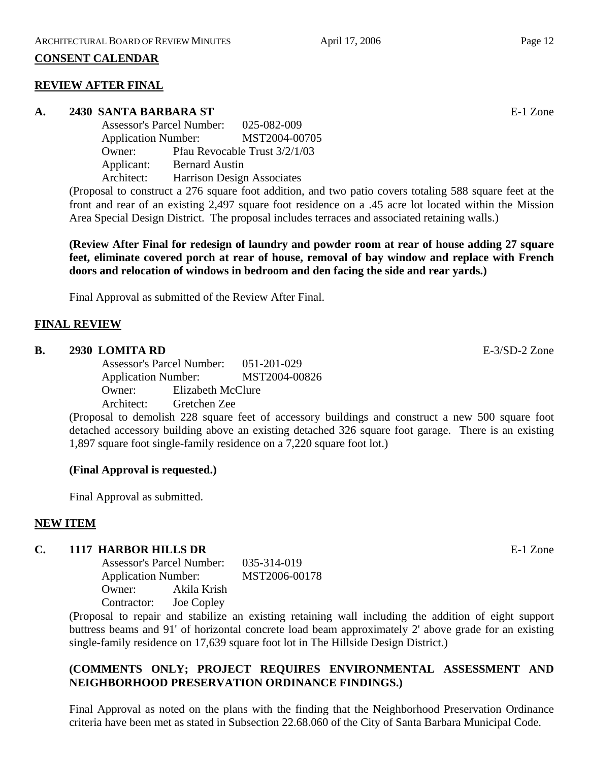### **CONSENT CALENDAR**

### **REVIEW AFTER FINAL**

### **A. 2430 SANTA BARBARA ST** E-1 Zone

Assessor's Parcel Number: 025-082-009 Application Number: MST2004-00705 Owner: Pfau Revocable Trust 3/2/1/03 Applicant: Bernard Austin Architect: Harrison Design Associates

(Proposal to construct a 276 square foot addition, and two patio covers totaling 588 square feet at the front and rear of an existing 2,497 square foot residence on a .45 acre lot located within the Mission Area Special Design District. The proposal includes terraces and associated retaining walls.)

**(Review After Final for redesign of laundry and powder room at rear of house adding 27 square feet, eliminate covered porch at rear of house, removal of bay window and replace with French doors and relocation of windows in bedroom and den facing the side and rear yards.)** 

Final Approval as submitted of the Review After Final.

### **FINAL REVIEW**

### **B. 2930 LOMITA RD** E-3/SD-2 Zone

Assessor's Parcel Number: 051-201-029 Application Number: MST2004-00826 Owner: Elizabeth McClure Architect: Gretchen Zee

(Proposal to demolish 228 square feet of accessory buildings and construct a new 500 square foot detached accessory building above an existing detached 326 square foot garage. There is an existing 1,897 square foot single-family residence on a 7,220 square foot lot.)

### **(Final Approval is requested.)**

Final Approval as submitted.

### **NEW ITEM**

### **C. 1117 HARBOR HILLS DR** E-1 Zone

Assessor's Parcel Number: 035-314-019 Application Number: MST2006-00178 Owner: Akila Krish Contractor: Joe Copley

(Proposal to repair and stabilize an existing retaining wall including the addition of eight support buttress beams and 91' of horizontal concrete load beam approximately 2' above grade for an existing single-family residence on 17,639 square foot lot in The Hillside Design District.)

### **(COMMENTS ONLY; PROJECT REQUIRES ENVIRONMENTAL ASSESSMENT AND NEIGHBORHOOD PRESERVATION ORDINANCE FINDINGS.)**

Final Approval as noted on the plans with the finding that the Neighborhood Preservation Ordinance criteria have been met as stated in Subsection 22.68.060 of the City of Santa Barbara Municipal Code.